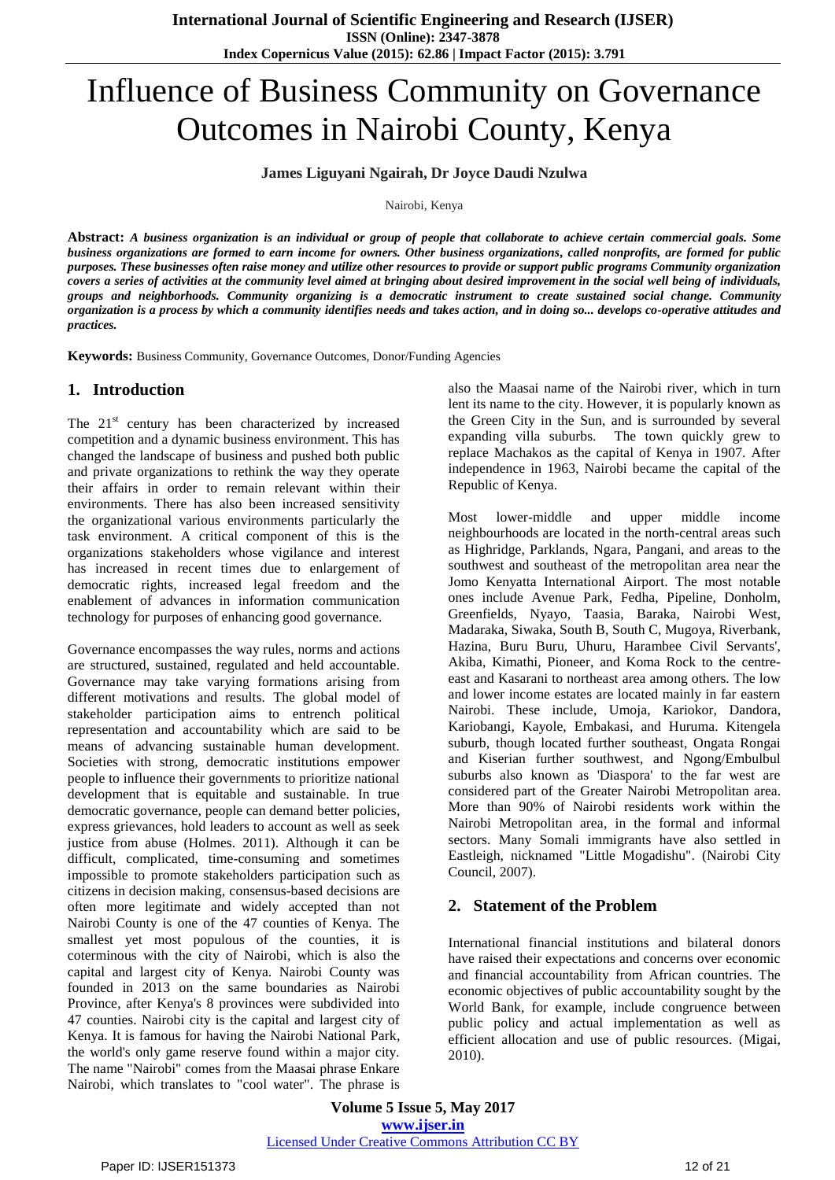# Influence of Business Community on Governance Outcomes in Nairobi County, Kenya

**James Liguyani Ngairah, Dr Joyce Daudi Nzulwa**

Nairobi, Kenya

**Abstract:** *A business organization is an individual or group of people that collaborate to achieve certain commercial goals. Some business organizations are formed to earn income for owners. Other business organizations, called nonprofits, are formed for public purposes. These businesses often raise money and utilize other resources to provide or support public programs Community organization covers a series of activities at the community level aimed at bringing about desired improvement in the social well being of individuals, groups and neighborhoods. [Community organizing](https://en.wikipedia.org/wiki/Community_organizing) is a democratic instrument to create sustained [social change.](https://en.wikipedia.org/wiki/Social_change) Community organization is a process by which a community identifies needs and takes action, and in doing so... develops co-operative attitudes and practices.*

**Keywords:** Business Community, Governance Outcomes, Donor/Funding Agencies

# **1. Introduction**

The  $21<sup>st</sup>$  century has been characterized by increased competition and a dynamic business environment. This has changed the landscape of business and pushed both public and private organizations to rethink the way they operate their affairs in order to remain relevant within their environments. There has also been increased sensitivity the organizational various environments particularly the task environment. A critical component of this is the organizations stakeholders whose vigilance and interest has increased in recent times due to enlargement of democratic rights, increased legal freedom and the enablement of advances in information communication technology for purposes of enhancing good governance.

Governance encompasses the way rules, norms and actions are structured, sustained, regulated and held accountable. Governance may take varying formations arising from different motivations and results. The global model of stakeholder participation aims to entrench political representation and accountability which are said to be means of advancing sustainable human development. Societies with strong, democratic institutions empower people to influence their governments to prioritize national development that is equitable and sustainable. In true democratic governance, people can demand better policies, express grievances, hold leaders to account as well as seek justice from abuse (Holmes. 2011). Although it can be difficult, complicated, time-consuming and sometimes impossible to promote stakeholders participation such as citizens in decision making, consensus-based decisions are often more legitimate and widely accepted than not Nairobi County is one of the 47 counties of Kenya. The smallest yet most populous of the counties, it is coterminous with the city of Nairobi, which is also the capital and largest city of Kenya. Nairobi County was founded in 2013 on the same boundaries as Nairobi Province, after Kenya's 8 provinces were subdivided into 47 counties. Nairobi city is the capital and largest city of Kenya. It is famous for having the Nairobi National Park, the world's only game reserve found within a major city. The name "Nairobi" comes from the Maasai phrase Enkare Nairobi, which translates to "cool water". The phrase is

also the Maasai name of the Nairobi river, which in turn lent its name to the city. However, it is popularly known as the Green City in the Sun, and is surrounded by several expanding villa suburbs. The town quickly grew to replace Machakos as the capital of Kenya in 1907. After independence in 1963, Nairobi became the capital of the Republic of Kenya.

Most lower-middle and upper middle income neighbourhoods are located in the north-central areas such as Highridge, Parklands, Ngara, Pangani, and areas to the southwest and southeast of the metropolitan area near the Jomo Kenyatta International Airport. The most notable ones include Avenue Park, Fedha, Pipeline, Donholm, Greenfields, Nyayo, Taasia, Baraka, Nairobi West, Madaraka, Siwaka, South B, South C, Mugoya, Riverbank, Hazina, Buru Buru, Uhuru, Harambee Civil Servants', Akiba, Kimathi, Pioneer, and Koma Rock to the centreeast and Kasarani to northeast area among others. The low and lower income estates are located mainly in far eastern Nairobi. These include, Umoja, Kariokor, Dandora, Kariobangi, Kayole, Embakasi, and Huruma. Kitengela suburb, though located further southeast, Ongata Rongai and Kiserian further southwest, and Ngong/Embulbul suburbs also known as 'Diaspora' to the far west are considered part of the Greater Nairobi Metropolitan area. More than 90% of Nairobi residents work within the Nairobi Metropolitan area, in the formal and informal sectors. Many Somali immigrants have also settled in Eastleigh, nicknamed "Little Mogadishu". (Nairobi City Council, 2007).

# **2. Statement of the Problem**

International financial institutions and bilateral donors have raised their expectations and concerns over economic and financial accountability from African countries. The economic objectives of public accountability sought by the World Bank, for example, include congruence between public policy and actual implementation as well as efficient allocation and use of public resources. (Migai, 2010).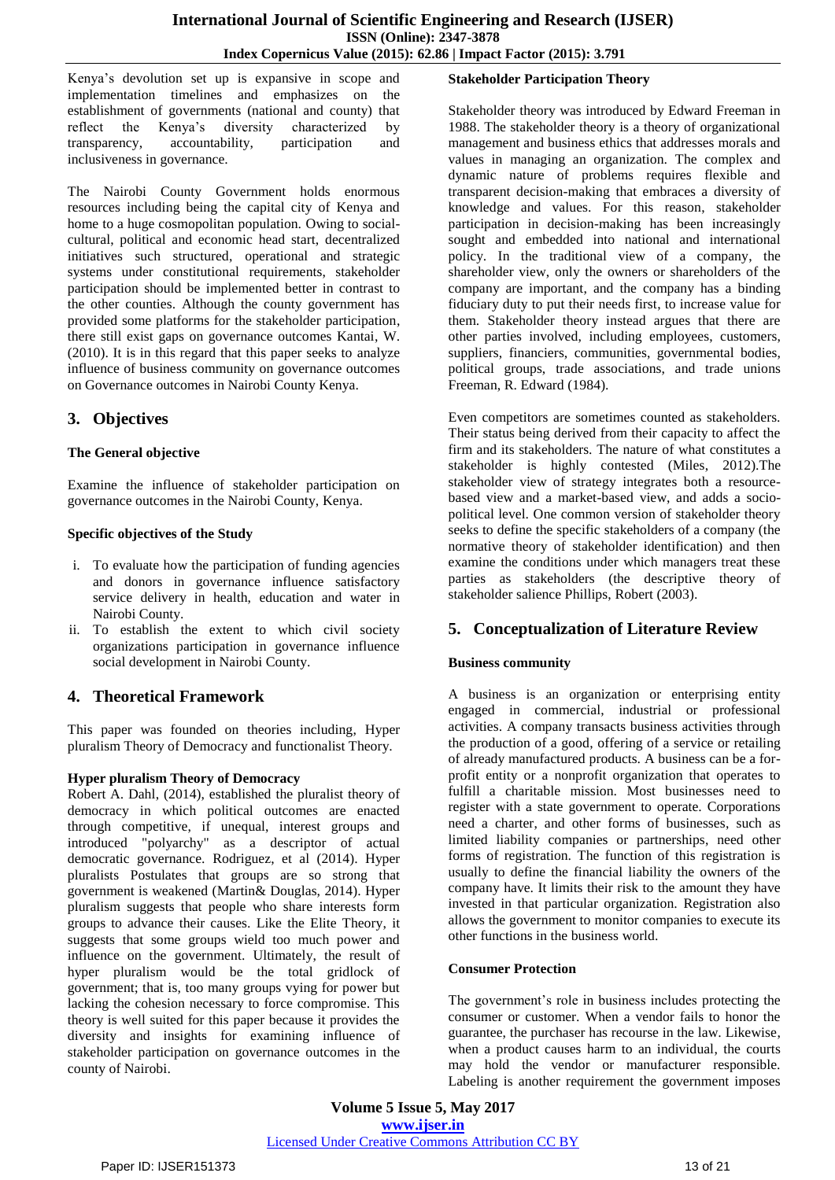Kenya"s devolution set up is expansive in scope and implementation timelines and emphasizes on the establishment of governments (national and county) that reflect the Kenya"s diversity characterized by transparency, accountability, participation and inclusiveness in governance.

The Nairobi County Government holds enormous resources including being the capital city of Kenya and home to a huge cosmopolitan population. Owing to socialcultural, political and economic head start, decentralized initiatives such structured, operational and strategic systems under constitutional requirements, stakeholder participation should be implemented better in contrast to the other counties. Although the county government has provided some platforms for the stakeholder participation, there still exist gaps on governance outcomes Kantai, W. (2010). It is in this regard that this paper seeks to analyze influence of business community on governance outcomes on Governance outcomes in Nairobi County Kenya.

# **3. Objectives**

## **The General objective**

Examine the influence of stakeholder participation on governance outcomes in the Nairobi County, Kenya.

## **Specific objectives of the Study**

- i. To evaluate how the participation of funding agencies and donors in governance influence satisfactory service delivery in health, education and water in Nairobi County.
- ii. To establish the extent to which civil society organizations participation in governance influence social development in Nairobi County.

# **4. Theoretical Framework**

This paper was founded on theories including, Hyper pluralism Theory of Democracy and functionalist Theory.

## **Hyper pluralism Theory of Democracy**

[Robert A. Dahl,](https://en.wikipedia.org/wiki/Robert_A._Dahl) (2014), established the [pluralist theory](https://en.wikipedia.org/wiki/Pluralism_%28political_theory%29) of [democracy](https://en.wikipedia.org/wiki/Democracy) in which political outcomes are enacted through competitive, if unequal, interest groups and introduced ["polyarchy"](https://en.wikipedia.org/wiki/Polyarchy) as a descriptor of actual democratic governance. Rodriguez, et al (2014). Hyper pluralists Postulates that groups are so strong that government is weakened (Martin& Douglas, 2014). Hyper pluralism suggests that people who share interests form groups to advance their causes. Like the Elite Theory, it suggests that some groups wield too much power and influence on the government. Ultimately, the result of hyper pluralism would be the total gridlock of government; that is, too many groups vying for power but lacking the cohesion necessary to force compromise. This theory is well suited for this paper because it provides the diversity and insights for examining influence of stakeholder participation on governance outcomes in the county of Nairobi.

## **Stakeholder Participation Theory**

Stakeholder theory was introduced by Edward Freeman in 1988. The stakeholder theory is a theory of organizational management and business ethics that addresses morals and values in managing an organization. The complex and dynamic nature of problems requires flexible and transparent decision-making that embraces a diversity of knowledge and values. For this reason, stakeholder participation in decision-making has been increasingly sought and embedded into national and international policy. In the traditional view of a company, the shareholder view, only the owners or shareholders of the company are important, and the company has a binding fiduciary duty to put their needs first, to increase value for them. Stakeholder theory instead argues that there are other parties involved, including employees, customers, suppliers, financiers, communities, governmental bodies, political groups, trade associations, and trade unions [Freeman, R. Edward](https://en.wikipedia.org/wiki/R._Edward_Freeman) (1984).

Even competitors are sometimes counted as stakeholders. Their status being derived from their capacity to affect the firm and its stakeholders. The nature of what constitutes a stakeholder is highly contested (Miles, 2012).The stakeholder view of strategy integrates both a resourcebased view and a market-based view, and adds a sociopolitical level. One common version of stakeholder theory seeks to define the specific stakeholders of a company (the normative theory of stakeholder identification) and then examine the conditions under which managers treat these parties as stakeholders (the descriptive theory of stakeholder salience Phillips, Robert (2003).

# **5. Conceptualization of Literature Review**

## **Business community**

A business is an organization or enterprising entity engaged in commercial, industrial or professional activities. A company transacts business activities through the production of a good, offering of a service or retailing of already manufactured products. A business can be a forprofit entity or a nonprofit organization that operates to fulfill a charitable mission. Most businesses need to register with a state government to operate. Corporations need a charter, and other forms of businesses, such as limited liability companies or partnerships, need other forms of registration. The function of this registration is usually to define the financial liability the owners of the company have. It limits their risk to the amount they have invested in that particular organization. Registration also allows the government to monitor companies to execute its other functions in the business world.

#### **Consumer Protection**

The government's role in business includes protecting the consumer or customer. When a vendor fails to honor the guarantee, the purchaser has recourse in the law. Likewise, when a product causes harm to an individual, the courts may hold the vendor or manufacturer responsible. Labeling is another requirement the government imposes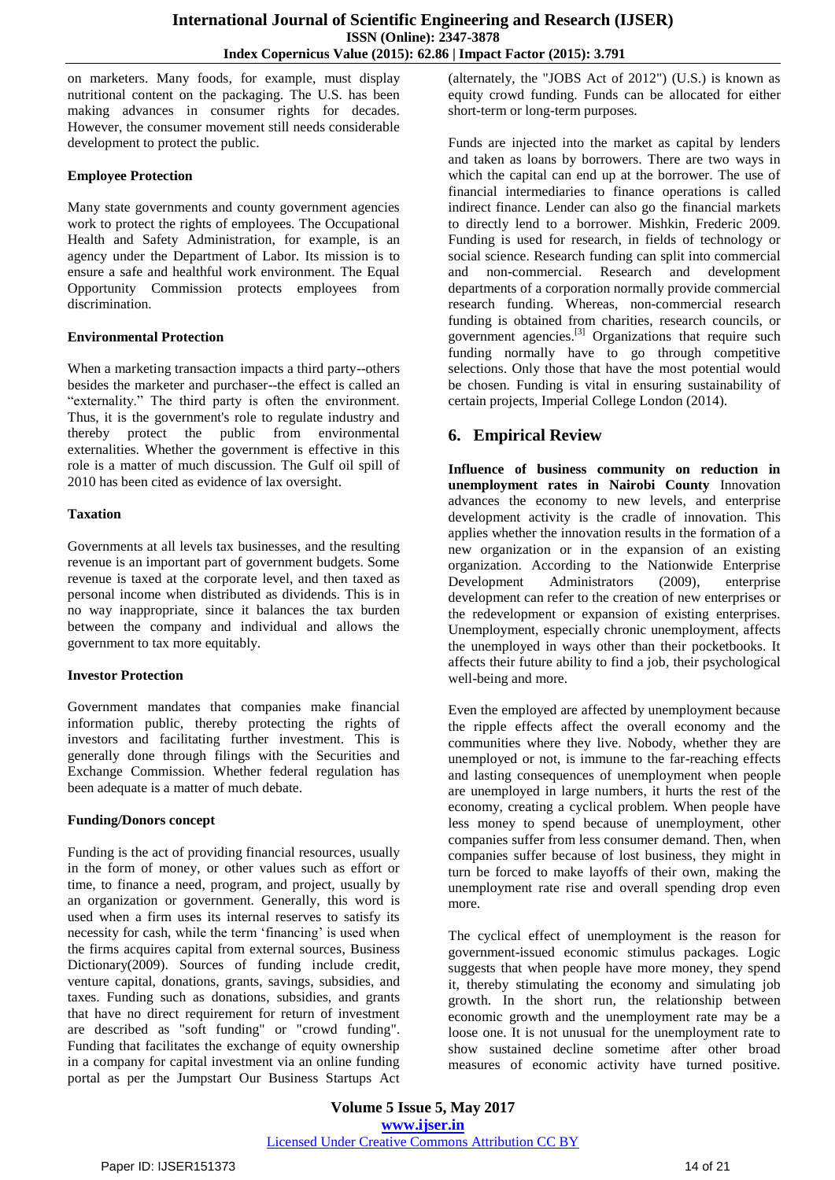on marketers. Many foods, for example, must display nutritional content on the packaging. The U.S. has been making advances in consumer rights for decades. However, the consumer movement still needs considerable development to protect the public.

## **Employee Protection**

Many state governments and county government agencies work to protect the rights of employees. The Occupational Health and Safety Administration, for example, is an agency under the Department of Labor. Its mission is to ensure a safe and healthful work environment. The Equal Opportunity Commission protects employees from discrimination.

## **Environmental Protection**

When a marketing transaction impacts a third party--others besides the marketer and purchaser--the effect is called an "externality." The third party is often the environment. Thus, it is the government's role to regulate industry and thereby protect the public from environmental externalities. Whether the government is effective in this role is a matter of much discussion. The Gulf oil spill of 2010 has been cited as evidence of lax oversight.

## **Taxation**

Governments at all levels tax businesses, and the resulting revenue is an important part of government budgets. Some revenue is taxed at the corporate level, and then taxed as personal income when distributed as dividends. This is in no way inappropriate, since it balances the tax burden between the company and individual and allows the government to tax more equitably.

## **Investor Protection**

Government mandates that companies make financial information public, thereby protecting the rights of investors and facilitating further investment. This is generally done through filings with the Securities and Exchange Commission. Whether federal regulation has been adequate is a matter of much debate.

#### **Funding/Donors concept**

Funding is the act of providing financial resources, usually in the form of money, or other values such as effort or time, to finance a need, program, and project, usually by an organization or government. Generally, this word is used when a firm uses its internal reserves to satisfy its necessity for cash, while the term 'financing' is used when the firms acquires capital from external sources, Business Dictionary(2009). Sources of funding include credit, venture capital, donations, grants, savings, subsidies, and taxes. Funding such as donations, subsidies, and grants that have no direct requirement for return of investment are described as "soft funding" or "crowd funding". Funding that facilitates the exchange of equity ownership in a company for capital investment via an online funding portal as per the Jumpstart Our Business Startups Act

(alternately, the "JOBS Act of 2012") (U.S.) is known as equity crowd funding. Funds can be allocated for either short-term or long-term purposes.

Funds are injected into the market as capital by lenders and taken as loans by borrowers. There are two ways in which the capital can end up at the borrower. The use of financial intermediaries to finance operations is called [indirect finance.](https://en.wikipedia.org/wiki/Indirect_finance) Lender can also go the [financial markets](https://en.wikipedia.org/wiki/Financial_market) to directly lend to a borrower. [Mishkin, Frederic](https://en.wikipedia.org/wiki/Frederic_Mishkin) 2009*.* Funding is used for [research,](https://en.wikipedia.org/wiki/Research) in fields of technology or social science. [Research funding](https://en.wikipedia.org/wiki/Research_funding) can split into commercial and non-commercial. Research and development departments of a corporation normally provide commercial research funding. Whereas, non-commercial research funding is obtained from charities, research councils, or [government agencies.](https://en.wikipedia.org/wiki/Government_agencies) [\[3\]](https://en.wikipedia.org/wiki/Funding#cite_note-3) Organizations that require such funding normally have to go through competitive selections. Only those that have the most potential would be chosen. Funding is vital in ensuring sustainability of certain projects, Imperial College London (2014).

# **6. Empirical Review**

**Influence of business community on reduction in unemployment rates in Nairobi County** Innovation advances the economy to new levels, and enterprise development activity is the cradle of innovation. This applies whether the innovation results in the formation of a new organization or in the expansion of an existing organization. According to the Nationwide Enterprise Development Administrators (2009), enterprise development can refer to the creation of new enterprises or the redevelopment or expansion of existing enterprises. Unemployment, especially chronic unemployment, affects the unemployed in ways other than their pocketbooks. It affects their future ability to find a job, their psychological well-being and more.

Even the employed are affected by unemployment because the ripple effects affect the overall economy and the communities where they live. Nobody, whether they are unemployed or not, is immune to the far-reaching effects and lasting consequences of unemployment when people are unemployed in large numbers, it hurts the rest of the economy, creating a cyclical problem. When people have less money to spend because of unemployment, other companies suffer from less consumer demand. Then, when companies suffer because of lost business, they might in turn be forced to make layoffs of their own, making the unemployment rate rise and overall spending drop even more.

The cyclical effect of unemployment is the reason for government-issued economic stimulus packages. Logic suggests that when people have more money, they spend it, thereby stimulating the economy and simulating job growth. In the short run, the relationship between economic growth and the unemployment rate may be a loose one. It is not unusual for the unemployment rate to show sustained decline sometime after other broad measures of economic activity have turned positive.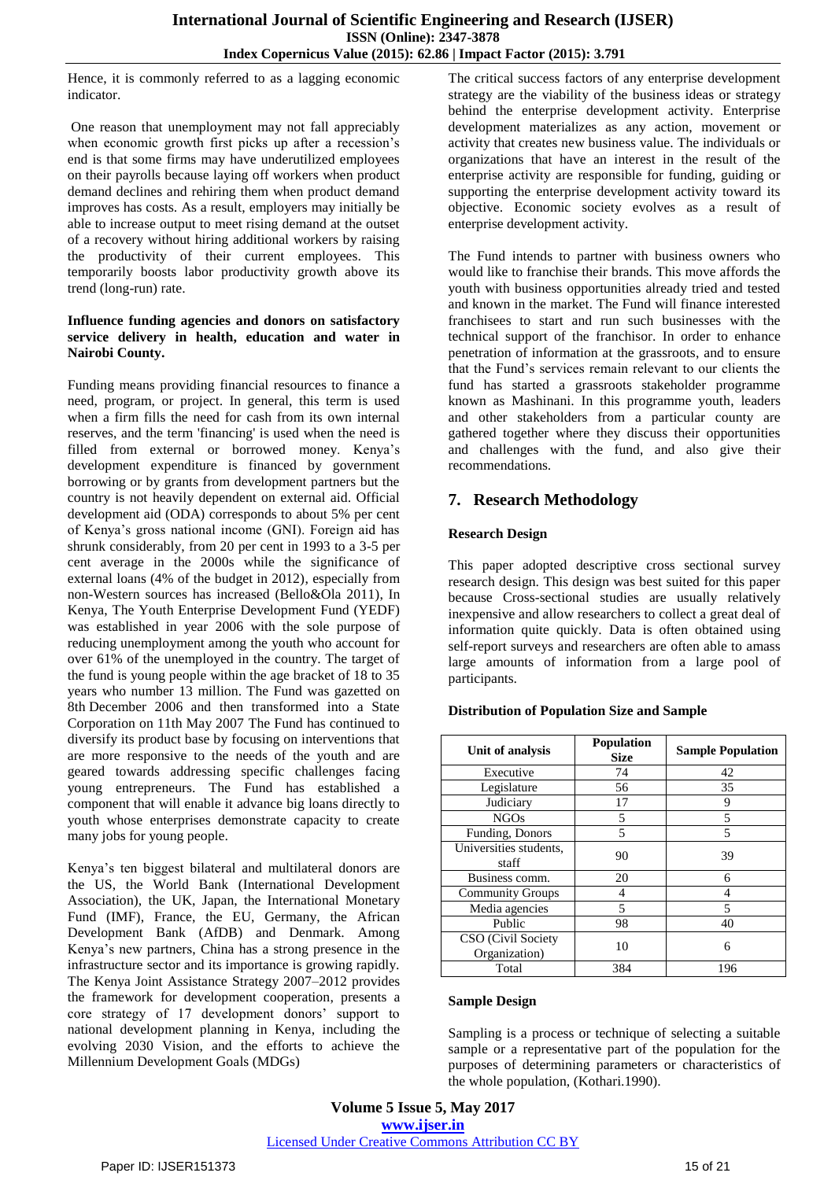Hence, it is commonly referred to as a lagging economic indicator.

One reason that unemployment may not fall appreciably when economic growth first picks up after a recession's end is that some firms may have underutilized employees on their payrolls because laying off workers when product demand declines and rehiring them when product demand improves has costs. As a result, employers may initially be able to increase output to meet rising demand at the outset of a recovery without hiring additional workers by raising the productivity of their current employees. This temporarily boosts labor productivity growth above its trend (long-run) rate.

#### **Influence funding agencies and donors on satisfactory service delivery in health, education and water in Nairobi County.**

Funding means providing [financial resources](http://www.businessdictionary.com/definition/financial-resources.html) to finance a [need,](http://www.businessdictionary.com/definition/need.html) [program,](http://www.businessdictionary.com/definition/program.html) or [project.](http://www.businessdictionary.com/definition/project.html) In [general,](http://www.businessdictionary.com/definition/general.html) this term is used when a firm fills the need for [cash](http://www.businessdictionary.com/definition/cash.html) from its own internal [reserves,](http://www.businessdictionary.com/definition/reserves.html) and the term 'financing' is used when the need is filled from external or borrowed [money.](http://www.businessdictionary.com/definition/money.html) Kenya"s development expenditure is financed by government borrowing or by grants from development partners but the country is not heavily dependent on external aid. Official development aid (ODA) corresponds to about 5% per cent of Kenya"s gross national income (GNI). Foreign aid has shrunk considerably, from 20 per cent in 1993 to a 3-5 per cent average in the 2000s while the significance of external loans (4% of the budget in 2012), especially from non-Western sources has increased (Bello&Ola 2011), In Kenya, The Youth Enterprise Development Fund (YEDF) was established in year 2006 with the sole purpose of reducing unemployment among the youth who account for over 61% of the unemployed in the country. The target of the fund is young people within the age bracket of 18 to 35 years who number 13 million. The Fund was gazetted on 8th December 2006 and then transformed into a State Corporation on 11th May 2007 The Fund has continued to diversify its product base by focusing on interventions that are more responsive to the needs of the youth and are geared towards addressing specific challenges facing young entrepreneurs. The Fund has established a component that will enable it advance big loans directly to youth whose enterprises demonstrate capacity to create many jobs for young people.

Kenya"s ten biggest bilateral and multilateral donors are the US, the World Bank (International Development Association), the UK, Japan, the International Monetary Fund (IMF), France, the EU, Germany, the African Development Bank (AfDB) and Denmark. Among Kenya"s new partners, China has a strong presence in the infrastructure sector and its importance is growing rapidly. The Kenya Joint Assistance Strategy 2007–2012 provides the framework for development cooperation, presents a core strategy of 17 development donors' support to national development planning in Kenya, including the evolving 2030 Vision, and the efforts to achieve the Millennium Development Goals (MDGs)

The critical success factors of any enterprise development strategy are the viability of the business ideas or strategy behind the enterprise development activity. Enterprise development materializes as any action, movement or activity that creates new business value. The individuals or organizations that have an interest in the result of the enterprise activity are responsible for funding, guiding or supporting the enterprise development activity toward its objective. Economic society evolves as a result of enterprise development activity.

The Fund intends to partner with business owners who would like to franchise their brands. This move affords the youth with business opportunities already tried and tested and known in the market. The Fund will finance interested franchisees to start and run such businesses with the technical support of the franchisor. In order to enhance penetration of information at the grassroots, and to ensure that the Fund"s services remain relevant to our clients the fund has started a grassroots stakeholder programme known as Mashinani. In this programme youth, leaders and other stakeholders from a particular county are gathered together where they discuss their opportunities and challenges with the fund, and also give their recommendations.

# **7. Research Methodology**

## **Research Design**

This paper adopted descriptive cross sectional survey research design. This design was best suited for this paper because Cross-sectional studies are usually relatively inexpensive and allow researchers to collect a great deal of information quite quickly. Data is often obtained using [self-report surveys a](https://www.verywell.com/what-is-a-self-report-inventory-2795587)nd researchers are often able to amass large amounts of information from a large pool of participants.

## **Distribution of Population Size and Sample**

| Unit of analysis                    | <b>Population</b><br><b>Size</b> | <b>Sample Population</b> |  |  |  |
|-------------------------------------|----------------------------------|--------------------------|--|--|--|
| Executive                           | 74                               | 42                       |  |  |  |
| Legislature                         | 56                               | 35                       |  |  |  |
| Judiciary                           | 17                               | 9                        |  |  |  |
| <b>NGOs</b>                         | 5                                | 5                        |  |  |  |
| Funding, Donors                     | $\overline{5}$                   | 5                        |  |  |  |
| Universities students,<br>staff     | 90                               | 39                       |  |  |  |
| Business comm.                      | 20                               | 6                        |  |  |  |
| <b>Community Groups</b>             |                                  | 4                        |  |  |  |
| Media agencies                      | 5                                | 5                        |  |  |  |
| Public                              | 98                               | 40                       |  |  |  |
| CSO (Civil Society<br>Organization) | 10                               | 6                        |  |  |  |
| Total                               | 384                              | 196                      |  |  |  |

#### **Sample Design**

Sampling is a process or technique of selecting a suitable sample or a representative part of the population for the purposes of determining parameters or characteristics of the whole population, (Kothari.1990).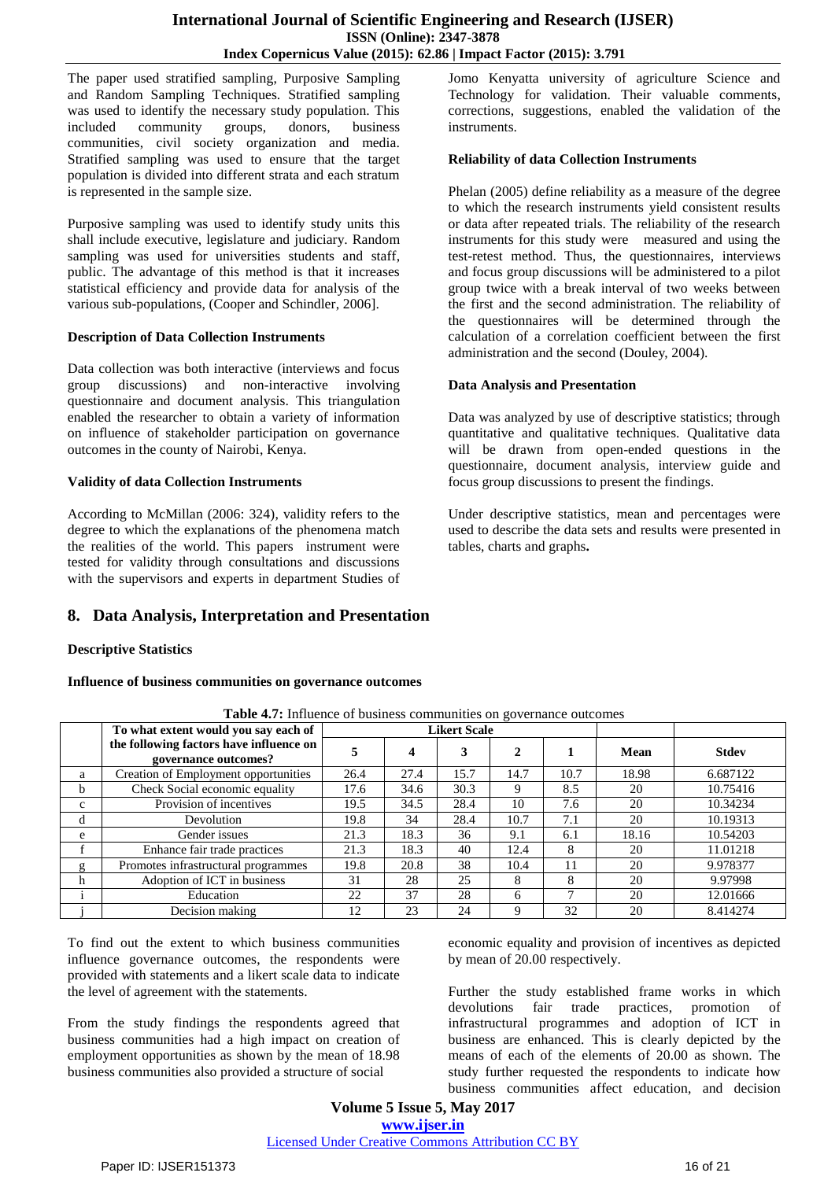instruments.

The paper used stratified sampling, Purposive Sampling and Random Sampling Techniques. Stratified sampling was used to identify the necessary study population. This included community groups, donors, business communities, civil society organization and media. Stratified sampling was used to ensure that the target population is divided into different strata and each stratum is represented in the sample size.

Purposive sampling was used to identify study units this shall include executive, legislature and judiciary. Random sampling was used for universities students and staff, public. The advantage of this method is that it increases statistical efficiency and provide data for analysis of the various sub-populations, (Cooper and Schindler, 2006].

#### **Description of Data Collection Instruments**

Data collection was both interactive (interviews and focus group discussions) and non-interactive involving questionnaire and document analysis. This triangulation enabled the researcher to obtain a variety of information on influence of stakeholder participation on governance outcomes in the county of Nairobi, Kenya.

## **Validity of data Collection Instruments**

According to McMillan (2006: 324), validity refers to the degree to which the explanations of the phenomena match the realities of the world. This papers instrument were tested for validity through consultations and discussions with the supervisors and experts in department Studies of

# **8. Data Analysis, Interpretation and Presentation**

## **Descriptive Statistics**

**Influence of business communities on governance outcomes**

|              | To what extent would you say each of                            | <b>Likert Scale</b> |      |      |              |              |       |              |
|--------------|-----------------------------------------------------------------|---------------------|------|------|--------------|--------------|-------|--------------|
|              | the following factors have influence on<br>governance outcomes? | 5                   | 4    | 3    | $\mathbf{2}$ |              | Mean  | <b>Stdev</b> |
| a            | Creation of Employment opportunities                            | 26.4                | 27.4 | 15.7 | 14.7         | 10.7         | 18.98 | 6.687122     |
| b            | Check Social economic equality                                  | 17.6                | 34.6 | 30.3 |              | 8.5          | 20    | 10.75416     |
| $\mathbf{C}$ | Provision of incentives                                         | 19.5                | 34.5 | 28.4 | 10           | 7.6          | 20    | 10.34234     |
| d            | Devolution                                                      | 19.8                | 34   | 28.4 | 10.7         | 7.1          | 20    | 10.19313     |
| e            | Gender issues                                                   | 21.3                | 18.3 | 36   | 9.1          | 6.1          | 18.16 | 10.54203     |
| f            | Enhance fair trade practices                                    | 21.3                | 18.3 | 40   | 12.4         | 8            | 20    | 11.01218     |
| g            | Promotes infrastructural programmes                             | 19.8                | 20.8 | 38   | 10.4         | 11           | 20    | 9.978377     |
| h            | Adoption of ICT in business                                     | 31                  | 28   | 25   | 8            | 8            | 20    | 9.97998      |
|              | Education                                                       | 22                  | 37   | 28   | 6            | $\mathbf{r}$ | 20    | 12.01666     |
|              | Decision making                                                 | 12                  | 23   | 24   |              | 32           | 20    | 8.414274     |

**Table 4.7:** Influence of business communities on governance outcomes

To find out the extent to which business communities influence governance outcomes, the respondents were provided with statements and a likert scale data to indicate the level of agreement with the statements.

From the study findings the respondents agreed that business communities had a high impact on creation of employment opportunities as shown by the mean of 18.98 business communities also provided a structure of social

economic equality and provision of incentives as depicted by mean of 20.00 respectively.

Jomo Kenyatta university of agriculture Science and Technology for validation. Their valuable comments, corrections, suggestions, enabled the validation of the

Phelan (2005) define reliability as a measure of the degree to which the research instruments yield consistent results or data after repeated trials. The reliability of the research instruments for this study were measured and using the test-retest method. Thus, the questionnaires, interviews and focus group discussions will be administered to a pilot group twice with a break interval of two weeks between the first and the second administration. The reliability of the questionnaires will be determined through the calculation of a correlation coefficient between the first

Data was analyzed by use of descriptive statistics; through quantitative and qualitative techniques. Qualitative data will be drawn from open-ended questions in the questionnaire, document analysis, interview guide and

Under descriptive statistics, mean and percentages were used to describe the data sets and results were presented in

**Reliability of data Collection Instruments**

administration and the second (Douley, 2004).

focus group discussions to present the findings.

**Data Analysis and Presentation**

tables, charts and graphs**.**

Further the study established frame works in which devolutions fair trade practices, promotion of infrastructural programmes and adoption of ICT in business are enhanced. This is clearly depicted by the means of each of the elements of 20.00 as shown. The study further requested the respondents to indicate how business communities affect education, and decision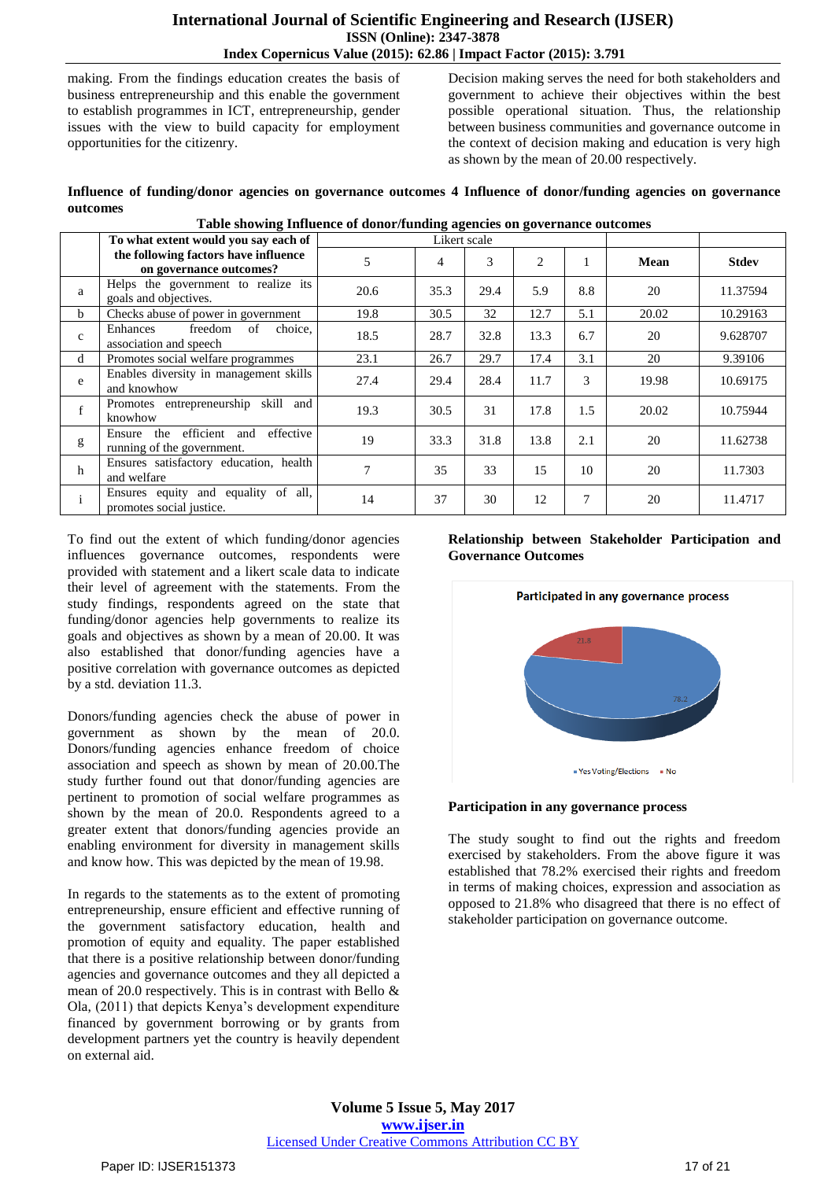making. From the findings education creates the basis of business entrepreneurship and this enable the government to establish programmes in ICT, entrepreneurship, gender issues with the view to build capacity for employment opportunities for the citizenry.

Decision making serves the need for both stakeholders and government to achieve their objectives within the best possible operational situation. Thus, the relationship between business communities and governance outcome in the context of decision making and education is very high as shown by the mean of 20.00 respectively.

**Influence of funding/donor agencies on governance outcomes 4 Influence of donor/funding agencies on governance outcomes Table showing Influence of donor/funding agencies on governance outcomes**

|              | Table showing influence of donor/funding agencies on governance outcomes |              |      |      |      |        |       |              |
|--------------|--------------------------------------------------------------------------|--------------|------|------|------|--------|-------|--------------|
|              | To what extent would you say each of                                     | Likert scale |      |      |      |        |       |              |
|              | the following factors have influence<br>on governance outcomes?          | 5            | 4    | 3    | 2    |        | Mean  | <b>Stdev</b> |
| a            | Helps the government to realize its<br>goals and objectives.             | 20.6         | 35.3 | 29.4 | 5.9  | 8.8    | 20    | 11.37594     |
| <sub>b</sub> | Checks abuse of power in government                                      | 19.8         | 30.5 | 32   | 12.7 | 5.1    | 20.02 | 10.29163     |
| $\mathbf{c}$ | freedom<br>of<br>choice,<br>Enhances<br>association and speech           | 18.5         | 28.7 | 32.8 | 13.3 | 6.7    | 20    | 9.628707     |
| d            | Promotes social welfare programmes                                       | 23.1         | 26.7 | 29.7 | 17.4 | 3.1    | 20    | 9.39106      |
| e            | Enables diversity in management skills<br>and knowhow                    | 27.4         | 29.4 | 28.4 | 11.7 | 3      | 19.98 | 10.69175     |
| f            | Promotes entrepreneurship skill and<br>knowhow                           | 19.3         | 30.5 | 31   | 17.8 | 1.5    | 20.02 | 10.75944     |
| g            | Ensure the efficient and<br>effective<br>running of the government.      | 19           | 33.3 | 31.8 | 13.8 | 2.1    | 20    | 11.62738     |
| h            | Ensures satisfactory education, health<br>and welfare                    | 7            | 35   | 33   | 15   | 10     | 20    | 11.7303      |
| $\mathbf{i}$ | Ensures equity and equality of all,<br>promotes social justice.          | 14           | 37   | 30   | 12   | $\tau$ | 20    | 11.4717      |

To find out the extent of which funding/donor agencies influences governance outcomes, respondents were provided with statement and a likert scale data to indicate their level of agreement with the statements. From the study findings, respondents agreed on the state that funding/donor agencies help governments to realize its goals and objectives as shown by a mean of 20.00. It was also established that donor/funding agencies have a positive correlation with governance outcomes as depicted by a std. deviation 11.3.

Donors/funding agencies check the abuse of power in government as shown by the mean of 20.0. Donors/funding agencies enhance freedom of choice association and speech as shown by mean of 20.00.The study further found out that donor/funding agencies are pertinent to promotion of social welfare programmes as shown by the mean of 20.0. Respondents agreed to a greater extent that donors/funding agencies provide an enabling environment for diversity in management skills and know how. This was depicted by the mean of 19.98.

In regards to the statements as to the extent of promoting entrepreneurship, ensure efficient and effective running of the government satisfactory education, health and promotion of equity and equality. The paper established that there is a positive relationship between donor/funding agencies and governance outcomes and they all depicted a mean of 20.0 respectively. This is in contrast with Bello & Ola, (2011) that depicts Kenya"s development expenditure financed by government borrowing or by grants from development partners yet the country is heavily dependent on external aid.

#### **Relationship between Stakeholder Participation and Governance Outcomes**



## **Participation in any governance process**

The study sought to find out the rights and freedom exercised by stakeholders. From the above figure it was established that 78.2% exercised their rights and freedom in terms of making choices, expression and association as opposed to 21.8% who disagreed that there is no effect of stakeholder participation on governance outcome.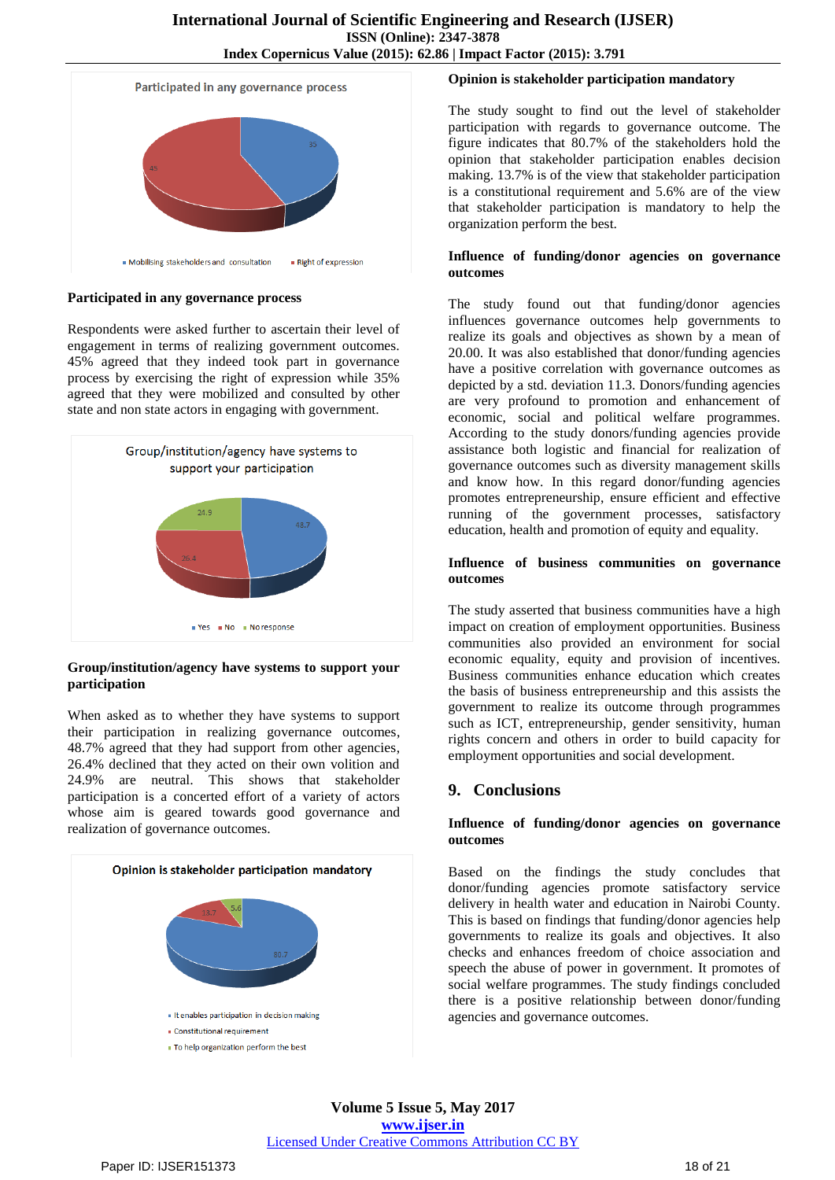

**Participated in any governance process**

Respondents were asked further to ascertain their level of engagement in terms of realizing government outcomes. 45% agreed that they indeed took part in governance process by exercising the right of expression while 35% agreed that they were mobilized and consulted by other state and non state actors in engaging with government.



## **Group/institution/agency have systems to support your participation**

When asked as to whether they have systems to support their participation in realizing governance outcomes, 48.7% agreed that they had support from other agencies, 26.4% declined that they acted on their own volition and 24.9% are neutral. This shows that stakeholder participation is a concerted effort of a variety of actors whose aim is geared towards good governance and realization of governance outcomes.



## **Opinion is stakeholder participation mandatory**

The study sought to find out the level of stakeholder participation with regards to governance outcome. The figure indicates that 80.7% of the stakeholders hold the opinion that stakeholder participation enables decision making. 13.7% is of the view that stakeholder participation is a constitutional requirement and 5.6% are of the view that stakeholder participation is mandatory to help the organization perform the best.

#### **Influence of funding/donor agencies on governance outcomes**

The study found out that funding/donor agencies influences governance outcomes help governments to realize its goals and objectives as shown by a mean of 20.00. It was also established that donor/funding agencies have a positive correlation with governance outcomes as depicted by a std. deviation 11.3. Donors/funding agencies are very profound to promotion and enhancement of economic, social and political welfare programmes. According to the study donors/funding agencies provide assistance both logistic and financial for realization of governance outcomes such as diversity management skills and know how. In this regard donor/funding agencies promotes entrepreneurship, ensure efficient and effective running of the government processes, satisfactory education, health and promotion of equity and equality.

#### **Influence of business communities on governance outcomes**

The study asserted that business communities have a high impact on creation of employment opportunities. Business communities also provided an environment for social economic equality, equity and provision of incentives. Business communities enhance education which creates the basis of business entrepreneurship and this assists the government to realize its outcome through programmes such as ICT, entrepreneurship, gender sensitivity, human rights concern and others in order to build capacity for employment opportunities and social development.

# **9. Conclusions**

#### **Influence of funding/donor agencies on governance outcomes**

Based on the findings the study concludes that donor/funding agencies promote satisfactory service delivery in health water and education in Nairobi County. This is based on findings that funding/donor agencies help governments to realize its goals and objectives. It also checks and enhances freedom of choice association and speech the abuse of power in government. It promotes of social welfare programmes. The study findings concluded there is a positive relationship between donor/funding agencies and governance outcomes.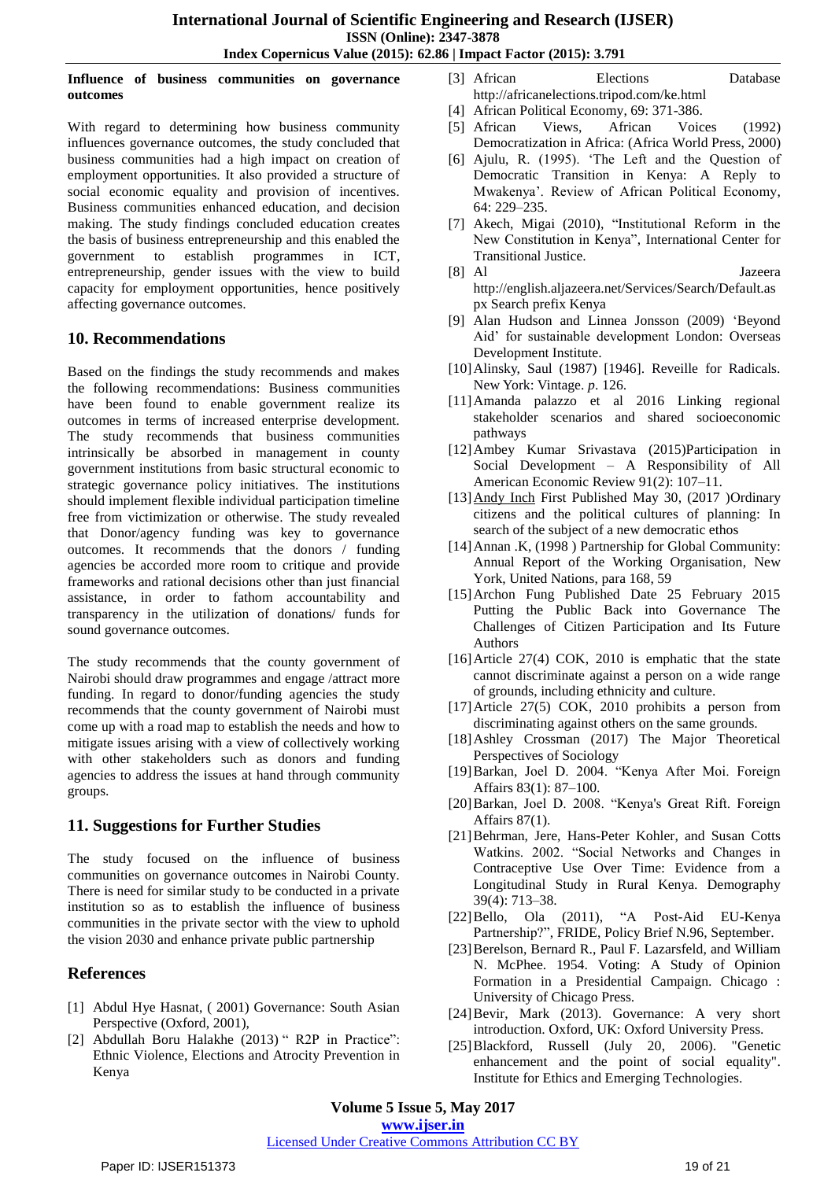#### **Influence of business communities on governance outcomes**

With regard to determining how business community influences governance outcomes, the study concluded that business communities had a high impact on creation of employment opportunities. It also provided a structure of social economic equality and provision of incentives. Business communities enhanced education, and decision making. The study findings concluded education creates the basis of business entrepreneurship and this enabled the government to establish programmes in ICT, entrepreneurship, gender issues with the view to build capacity for employment opportunities, hence positively affecting governance outcomes.

## **10. Recommendations**

Based on the findings the study recommends and makes the following recommendations: Business communities have been found to enable government realize its outcomes in terms of increased enterprise development. The study recommends that business communities intrinsically be absorbed in management in county government institutions from basic structural economic to strategic governance policy initiatives. The institutions should implement flexible individual participation timeline free from victimization or otherwise. The study revealed that Donor/agency funding was key to governance outcomes. It recommends that the donors / funding agencies be accorded more room to critique and provide frameworks and rational decisions other than just financial assistance, in order to fathom accountability and transparency in the utilization of donations/ funds for sound governance outcomes.

The study recommends that the county government of Nairobi should draw programmes and engage /attract more funding. In regard to donor/funding agencies the study recommends that the county government of Nairobi must come up with a road map to establish the needs and how to mitigate issues arising with a view of collectively working with other stakeholders such as donors and funding agencies to address the issues at hand through community groups.

# **11. Suggestions for Further Studies**

The study focused on the influence of business communities on governance outcomes in Nairobi County. There is need for similar study to be conducted in a private institution so as to establish the influence of business communities in the private sector with the view to uphold the vision 2030 and enhance private public partnership

# **References**

- [1] Abdul Hye Hasnat, ( 2001) Governance: South Asian Perspective (Oxford, 2001),
- [2] Abdullah Boru Halakhe (2013) " R2P in Practice": Ethnic Violence, Elections and Atrocity Prevention in Kenya
- [3] African Elections Database <http://africanelections.tripod.com/ke.html>
- [4] African Political Economy, 69: 371-386.
- [5] [African Views, African Voices](https://www.nap.edu/catalog/2041/democratization-in-africa-african-views-african-voices) (1992) Democratization in Africa: (Africa World Press, 2000)
- [6] Ajulu, R. (1995). "The Left and the Question of Democratic Transition in Kenya: A Reply to Mwakenya". Review of African Political Economy, 64: 229–235.
- [7] Akech, Migai (2010), "Institutional Reform in the New Constitution in Kenya", International Center for Transitional Justice.
- [8] Al Jazeera [http://english.aljazeera.net/Services/Search/Default.as](http://english.aljazeera.net/Services/Search/Default.aspx) [px](http://english.aljazeera.net/Services/Search/Default.aspx) Search prefix Kenya
- [9] Alan Hudson and Linnea Jonsson (2009) ["Beyond](http://www.odi.org.uk/resources/details.asp?id=3288&title=beyond-aid-policy-coherence)  [Aid" for sustainable development](http://www.odi.org.uk/resources/details.asp?id=3288&title=beyond-aid-policy-coherence) London: [Overseas](https://en.wikipedia.org/wiki/Overseas_Development_Institute)  [Development Institute.](https://en.wikipedia.org/wiki/Overseas_Development_Institute)
- [10] Alinsky, Saul (1987) [1946]. Reveille for Radicals. New York: Vintage. *p*. 126.
- [11]Amanda palazzo et al 2016 Linking regional stakeholder scenarios and shared socioeconomic pathways
- [12]Ambey Kumar Srivastava (2015)Participation in Social Development – A Responsibility of All American Economic Review 91(2): 107–11.
- [13] Andy Inch First Published May 30, (2017 )Ordinary citizens and the political cultures of planning: In search of the subject of a new democratic ethos
- [14] Annan .K, (1998) Partnership for Global Community: Annual Report of the Working Organisation, New York, United Nations, para 168, 59
- [15]Archon Fung Published Date 25 February 2015 [Putting the Public Back into Governance The](http://onlinelibrary.wiley.com/doi/10.1111/puar.12361/full)  [Challenges of Citizen Participation and Its Future](http://onlinelibrary.wiley.com/doi/10.1111/puar.12361/full) Authors
- [16]Article 27(4) COK, 2010 is emphatic that the state cannot discriminate against a person on a wide range of grounds, including ethnicity and culture.
- [17]Article 27(5) COK, 2010 prohibits a person from discriminating against others on the same grounds.
- [18]Ashley Crossman (2017) The Major Theoretical Perspectives of Sociology
- [19]Barkan, Joel D. 2004. "Kenya After Moi. Foreign Affairs 83(1): 87–100.
- [20]Barkan, Joel D. 2008. "Kenya's Great Rift. Foreign Affairs 87(1).
- [21]Behrman, Jere, Hans-Peter Kohler, and Susan Cotts Watkins. 2002. "Social Networks and Changes in Contraceptive Use Over Time: Evidence from a Longitudinal Study in Rural Kenya. Demography 39(4): 713–38.
- [22]Bello, Ola (2011), "A Post-Aid EU-Kenya Partnership?", FRIDE, Policy Brief N.96, September.
- [23]Berelson, Bernard R., Paul F. Lazarsfeld, and William N. McPhee. 1954. Voting: A Study of Opinion Formation in a Presidential Campaign. Chicago : University of Chicago Press.
- [24]Bevir, Mark (2013). Governance: A very short introduction. Oxford, UK: Oxford University Press.
- [25]Blackford, Russell (July 20, 2006). ["Genetic](http://ieet.org/index.php/IEET/more/689/%20Genetic%20enhancement%20and%20the%20point%20of%20social%20equality)  [enhancement and the point of social equality".](http://ieet.org/index.php/IEET/more/689/%20Genetic%20enhancement%20and%20the%20point%20of%20social%20equality) Institute for Ethics and Emerging Technologies.

**Volume 5 Issue 5, May 2017 www.ijser.in**

## Licensed Under Creative Commons Attribution CC BY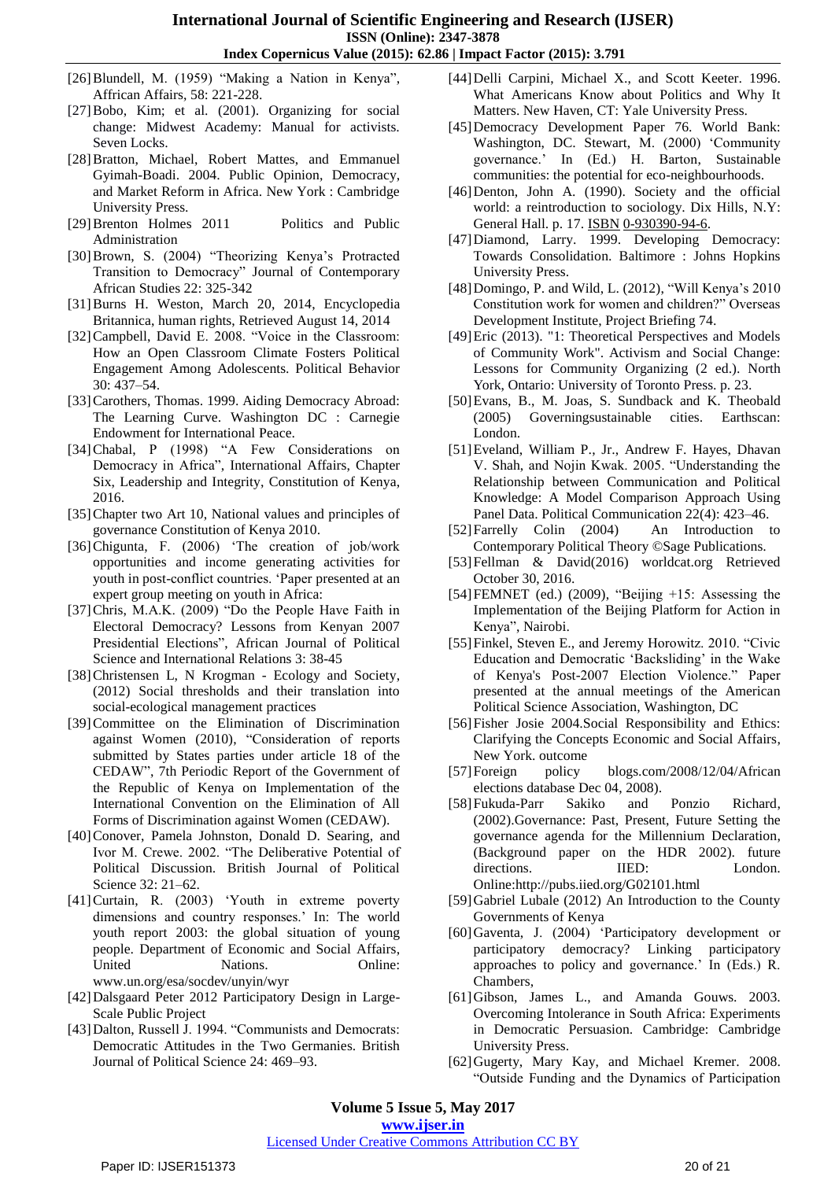- [26]Blundell, M. (1959) "Making a Nation in Kenya", Affrican Affairs, 58: 221-228.
- [27]Bobo, Kim; et al. (2001). Organizing for social change: Midwest Academy: Manual for activists. Seven Locks.
- [28]Bratton, Michael, Robert Mattes, and Emmanuel Gyimah-Boadi. 2004. Public Opinion, Democracy, and Market Reform in Africa. New York : Cambridge University Press.
- [29]Brenton Holmes 2011 Politics and Public Administration
- [30] Brown, S. (2004) "Theorizing Kenya's Protracted Transition to Democracy" Journal of Contemporary African Studies 22: 325-342
- [31]Burns H. Weston, March 20, 2014, Encyclopedia Britannica, [human rights,](http://www.britannica.com/EBchecked/topic/275840/human-rights) Retrieved August 14, 2014
- [32] Campbell, David E. 2008. "Voice in the Classroom: How an Open Classroom Climate Fosters Political Engagement Among Adolescents. Political Behavior 30: 437–54.
- [33] Carothers, Thomas. 1999. Aiding Democracy Abroad: The Learning Curve. Washington DC : Carnegie Endowment for International Peace.
- [34]Chabal, P (1998) "A Few Considerations on Democracy in Africa", International Affairs, Chapter Six, Leadership and Integrity, Constitution of Kenya, 2016.
- [35] Chapter two Art 10, National values and principles of governance Constitution of Kenya 2010.
- [36]Chigunta, F. (2006) "The creation of job/work opportunities and income generating activities for youth in post-conflict countries. "Paper presented at an expert group meeting on youth in Africa:
- [37]Chris, M.A.K. (2009) "Do the People Have Faith in Electoral Democracy? Lessons from Kenyan 2007 Presidential Elections", African Journal of Political Science and International Relations 3: 38-45
- [38]Christensen L, N Krogman Ecology and Society, (2012) Social thresholds and their translation into social-ecological management practices
- [39]Committee on the Elimination of Discrimination against Women (2010), "Consideration of reports submitted by States parties under article 18 of the CEDAW", 7th Periodic Report of the Government of the Republic of Kenya on Implementation of the International Convention on the Elimination of All Forms of Discrimination against Women (CEDAW).
- [40]Conover, Pamela Johnston, Donald D. Searing, and Ivor M. Crewe. 2002. "The Deliberative Potential of Political Discussion. British Journal of Political Science 32: 21–62.
- [41]Curtain, R. (2003) "Youth in extreme poverty dimensions and country responses." In: The world youth report 2003: the global situation of young people. Department of Economic and Social Affairs, United Nations. Online: [www.un.org/esa/socdev/unyin/wyr](http://www.un.org/esa/socdev/unyin/wyr)
- [42]Dalsgaard Peter 2012 Participatory Design in Large-Scale Public Project
- [43] Dalton, Russell J. 1994. "Communists and Democrats: Democratic Attitudes in the Two Germanies. British Journal of Political Science 24: 469–93.
- [44]Delli Carpini, Michael X., and Scott Keeter. 1996. What Americans Know about Politics and Why It Matters. New Haven, CT: Yale University Press.
- [45]Democracy Development Paper 76. World Bank: Washington, DC. Stewart, M. (2000) "Community governance." In (Ed.) H. Barton, Sustainable communities: the potential for eco-neighbourhoods.
- [46]Denton, John A. (1990). Society and the official world: a reintroduction to sociology. Dix Hills, N.Y: General Hall. p. 17. [ISBN](https://en.wikipedia.org/wiki/International_Standard_Book_Number) [0-930390-94-6.](https://en.wikipedia.org/wiki/Special:BookSources/0-930390-94-6)
- [47]Diamond, Larry. 1999. Developing Democracy: Towards Consolidation. Baltimore : Johns Hopkins University Press.
- [48]Domingo, P. and Wild, L. (2012), "Will Kenya"s 2010 Constitution work for women and children?" Overseas Development Institute, Project Briefing 74.
- [49]Eric (2013). "1: Theoretical Perspectives and Models of Community Work". Activism and Social Change: Lessons for Community Organizing (2 ed.). North York, Ontario: University of Toronto Press. p. 23.
- [50]Evans, B., M. Joas, S. Sundback and K. Theobald (2005) Governingsustainable cities. Earthscan: London.
- [51]Eveland, William P., Jr., Andrew F. Hayes, Dhavan V. Shah, and Nojin Kwak. 2005. "Understanding the Relationship between Communication and Political Knowledge: A Model Comparison Approach Using Panel Data. Political Communication 22(4): 423–46.
- [52]Farrelly Colin (2004) An Introduction to Contemporary Political Theory ©Sage Publications.
- [53[\]Fellman & David\(](http://www.worldcat.org/wcidentities/lccn-n50001113)2016) worldcat.org Retrieved October 30, 2016.
- [54]FEMNET (ed.) (2009), "Beijing +15: Assessing the Implementation of the Beijing Platform for Action in Kenya", Nairobi.
- [55]Finkel, Steven E., and Jeremy Horowitz. 2010. "Civic Education and Democratic "Backsliding" in the Wake of Kenya's Post-2007 Election Violence." Paper presented at the annual meetings of the American Political Science Association, Washington, DC
- [56] Fisher Josie 2004. Social Responsibility and Ethics: Clarifying the Concepts Economic and Social Affairs, New York. outcome
- [57]Foreign policy blogs.com/2008/12/04/African elections database Dec 04, 2008).
- [58]Fukuda-Parr Sakiko and Ponzio Richard, (2002).Governance: Past, Present, Future Setting the governance agenda for the Millennium Declaration, (Background paper on the HDR 2002). future directions. **IIED:** London. Online:http://pubs.iied.org/G02101.html
- [59]Gabriel Lubale (2012) An Introduction to the County Governments of Kenya
- [60]Gaventa, J. (2004) "Participatory development or participatory democracy? Linking participatory approaches to policy and governance." In (Eds.) R. Chambers,
- [61]Gibson, James L., and Amanda Gouws. 2003. Overcoming Intolerance in South Africa: Experiments in Democratic Persuasion. Cambridge: Cambridge University Press.
- [62]Gugerty, Mary Kay, and Michael Kremer. 2008. "Outside Funding and the Dynamics of Participation

**Volume 5 Issue 5, May 2017**

**www.ijser.in**

## Licensed Under Creative Commons Attribution CC BY